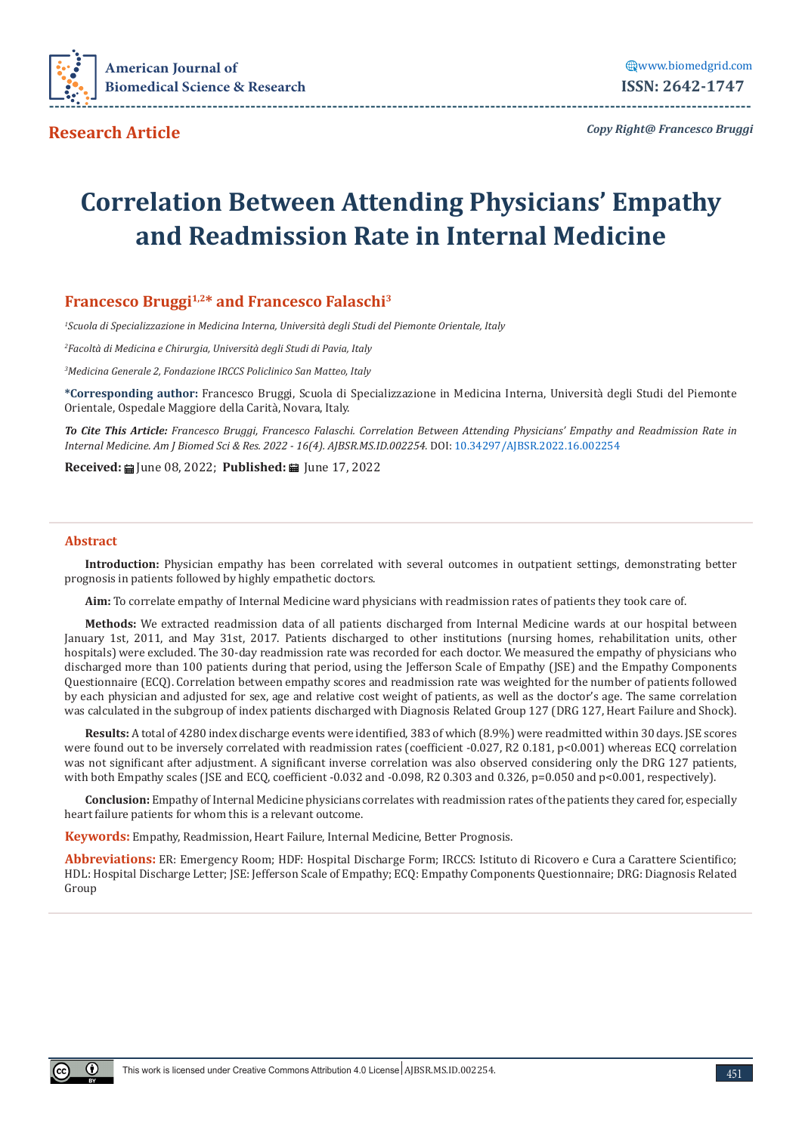

**Research Article**

*Copy Right@ Francesco Bruggi*

# **Correlation Between Attending Physicians' Empathy and Readmission Rate in Internal Medicine**

# **Francesco Bruggi1,2\* and Francesco Falaschi3**

*1 Scuola di Specializzazione in Medicina Interna, Università degli Studi del Piemonte Orientale, Italy*

*2 Facoltà di Medicina e Chirurgia, Università degli Studi di Pavia, Italy*

*3 Medicina Generale 2, Fondazione IRCCS Policlinico San Matteo, Italy*

**\*Corresponding author:** Francesco Bruggi, Scuola di Specializzazione in Medicina Interna, Università degli Studi del Piemonte Orientale, Ospedale Maggiore della Carità, Novara, Italy.

*To Cite This Article: Francesco Bruggi, Francesco Falaschi. Correlation Between Attending Physicians' Empathy and Readmission Rate in Internal Medicine. Am J Biomed Sci & Res. 2022 - 16(4). AJBSR.MS.ID.002254.* DOI: [10.34297/AJBSR.2022.16.002254](http://dx.doi.org/10.34297/AJBSR.2022.16.002254)

**Received: iii** June 08, 2022; **Published: iii** June 17, 2022

#### **Abstract**

**Introduction:** Physician empathy has been correlated with several outcomes in outpatient settings, demonstrating better prognosis in patients followed by highly empathetic doctors.

**Aim:** To correlate empathy of Internal Medicine ward physicians with readmission rates of patients they took care of.

**Methods:** We extracted readmission data of all patients discharged from Internal Medicine wards at our hospital between January 1st, 2011, and May 31st, 2017. Patients discharged to other institutions (nursing homes, rehabilitation units, other hospitals) were excluded. The 30-day readmission rate was recorded for each doctor. We measured the empathy of physicians who discharged more than 100 patients during that period, using the Jefferson Scale of Empathy (JSE) and the Empathy Components Questionnaire (ECQ). Correlation between empathy scores and readmission rate was weighted for the number of patients followed by each physician and adjusted for sex, age and relative cost weight of patients, as well as the doctor's age. The same correlation was calculated in the subgroup of index patients discharged with Diagnosis Related Group 127 (DRG 127, Heart Failure and Shock).

**Results:** A total of 4280 index discharge events were identified, 383 of which (8.9%) were readmitted within 30 days. JSE scores were found out to be inversely correlated with readmission rates (coefficient -0.027, R2 0.181, p<0.001) whereas ECQ correlation was not significant after adjustment. A significant inverse correlation was also observed considering only the DRG 127 patients, with both Empathy scales (JSE and ECQ, coefficient -0.032 and -0.098, R2 0.303 and 0.326, p=0.050 and p<0.001, respectively).

**Conclusion:** Empathy of Internal Medicine physicians correlates with readmission rates of the patients they cared for, especially heart failure patients for whom this is a relevant outcome.

**Keywords:** Empathy, Readmission, Heart Failure, Internal Medicine, Better Prognosis.

**Abbreviations:** ER: Emergency Room; HDF: Hospital Discharge Form; IRCCS: Istituto di Ricovero e Cura a Carattere Scientifico; HDL: Hospital Discharge Letter; JSE: Jefferson Scale of Empathy; ECQ: Empathy Components Questionnaire; DRG: Diagnosis Related Group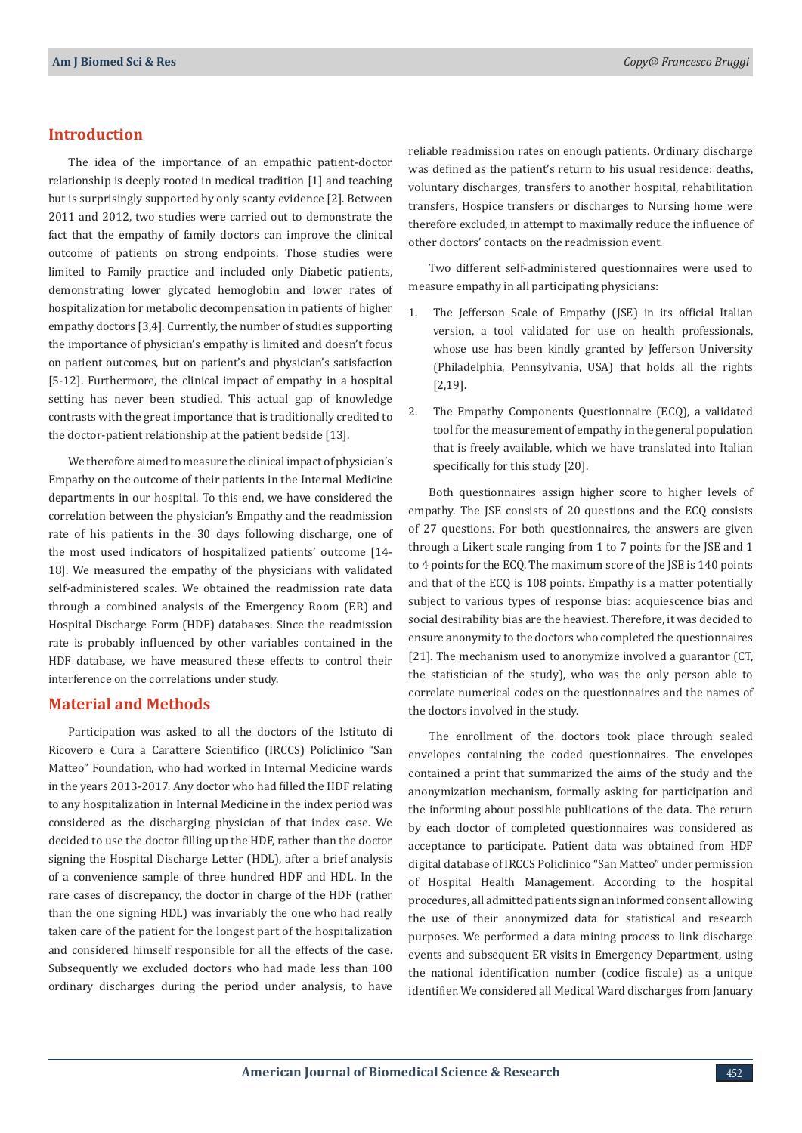#### **Introduction**

The idea of the importance of an empathic patient-doctor relationship is deeply rooted in medical tradition [1] and teaching but is surprisingly supported by only scanty evidence [2]. Between 2011 and 2012, two studies were carried out to demonstrate the fact that the empathy of family doctors can improve the clinical outcome of patients on strong endpoints. Those studies were limited to Family practice and included only Diabetic patients, demonstrating lower glycated hemoglobin and lower rates of hospitalization for metabolic decompensation in patients of higher empathy doctors [3,4]. Currently, the number of studies supporting the importance of physician's empathy is limited and doesn't focus on patient outcomes, but on patient's and physician's satisfaction [5-12]. Furthermore, the clinical impact of empathy in a hospital setting has never been studied. This actual gap of knowledge contrasts with the great importance that is traditionally credited to the doctor-patient relationship at the patient bedside [13].

We therefore aimed to measure the clinical impact of physician's Empathy on the outcome of their patients in the Internal Medicine departments in our hospital. To this end, we have considered the correlation between the physician's Empathy and the readmission rate of his patients in the 30 days following discharge, one of the most used indicators of hospitalized patients' outcome [14- 18]. We measured the empathy of the physicians with validated self-administered scales. We obtained the readmission rate data through a combined analysis of the Emergency Room (ER) and Hospital Discharge Form (HDF) databases. Since the readmission rate is probably influenced by other variables contained in the HDF database, we have measured these effects to control their interference on the correlations under study.

## **Material and Methods**

Participation was asked to all the doctors of the Istituto di Ricovero e Cura a Carattere Scientifico (IRCCS) Policlinico "San Matteo" Foundation, who had worked in Internal Medicine wards in the years 2013-2017. Any doctor who had filled the HDF relating to any hospitalization in Internal Medicine in the index period was considered as the discharging physician of that index case. We decided to use the doctor filling up the HDF, rather than the doctor signing the Hospital Discharge Letter (HDL), after a brief analysis of a convenience sample of three hundred HDF and HDL. In the rare cases of discrepancy, the doctor in charge of the HDF (rather than the one signing HDL) was invariably the one who had really taken care of the patient for the longest part of the hospitalization and considered himself responsible for all the effects of the case. Subsequently we excluded doctors who had made less than 100 ordinary discharges during the period under analysis, to have

reliable readmission rates on enough patients. Ordinary discharge was defined as the patient's return to his usual residence: deaths, voluntary discharges, transfers to another hospital, rehabilitation transfers, Hospice transfers or discharges to Nursing home were therefore excluded, in attempt to maximally reduce the influence of other doctors' contacts on the readmission event.

Two different self-administered questionnaires were used to measure empathy in all participating physicians:

- 1. The Jefferson Scale of Empathy (JSE) in its official Italian version, a tool validated for use on health professionals, whose use has been kindly granted by Jefferson University (Philadelphia, Pennsylvania, USA) that holds all the rights [2,19].
- 2. The Empathy Components Questionnaire (ECQ), a validated tool for the measurement of empathy in the general population that is freely available, which we have translated into Italian specifically for this study [20].

Both questionnaires assign higher score to higher levels of empathy. The JSE consists of 20 questions and the ECQ consists of 27 questions. For both questionnaires, the answers are given through a Likert scale ranging from 1 to 7 points for the JSE and 1 to 4 points for the ECQ. The maximum score of the JSE is 140 points and that of the ECQ is 108 points. Empathy is a matter potentially subject to various types of response bias: acquiescence bias and social desirability bias are the heaviest. Therefore, it was decided to ensure anonymity to the doctors who completed the questionnaires [21]. The mechanism used to anonymize involved a guarantor (CT, the statistician of the study), who was the only person able to correlate numerical codes on the questionnaires and the names of the doctors involved in the study.

The enrollment of the doctors took place through sealed envelopes containing the coded questionnaires. The envelopes contained a print that summarized the aims of the study and the anonymization mechanism, formally asking for participation and the informing about possible publications of the data. The return by each doctor of completed questionnaires was considered as acceptance to participate. Patient data was obtained from HDF digital database of IRCCS Policlinico "San Matteo" under permission of Hospital Health Management. According to the hospital procedures, all admitted patients sign an informed consent allowing the use of their anonymized data for statistical and research purposes. We performed a data mining process to link discharge events and subsequent ER visits in Emergency Department, using the national identification number (codice fiscale) as a unique identifier. We considered all Medical Ward discharges from January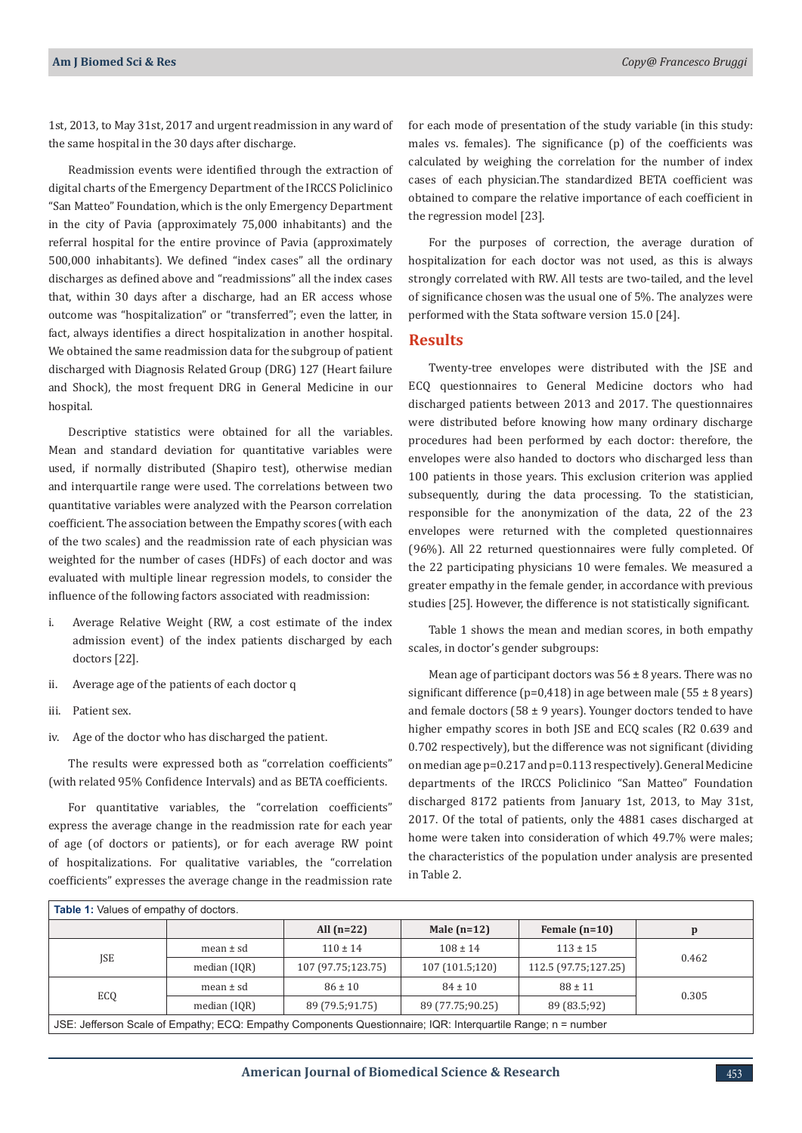1st, 2013, to May 31st, 2017 and urgent readmission in any ward of the same hospital in the 30 days after discharge.

Readmission events were identified through the extraction of digital charts of the Emergency Department of the IRCCS Policlinico "San Matteo" Foundation, which is the only Emergency Department in the city of Pavia (approximately 75,000 inhabitants) and the referral hospital for the entire province of Pavia (approximately 500,000 inhabitants). We defined "index cases" all the ordinary discharges as defined above and "readmissions" all the index cases that, within 30 days after a discharge, had an ER access whose outcome was "hospitalization" or "transferred"; even the latter, in fact, always identifies a direct hospitalization in another hospital. We obtained the same readmission data for the subgroup of patient discharged with Diagnosis Related Group (DRG) 127 (Heart failure and Shock), the most frequent DRG in General Medicine in our hospital.

Descriptive statistics were obtained for all the variables. Mean and standard deviation for quantitative variables were used, if normally distributed (Shapiro test), otherwise median and interquartile range were used. The correlations between two quantitative variables were analyzed with the Pearson correlation coefficient. The association between the Empathy scores (with each of the two scales) and the readmission rate of each physician was weighted for the number of cases (HDFs) of each doctor and was evaluated with multiple linear regression models, to consider the influence of the following factors associated with readmission:

- i. Average Relative Weight (RW, a cost estimate of the index admission event) of the index patients discharged by each doctors [22].
- ii. Average age of the patients of each doctor q
- iii. Patient sex.
- iv. Age of the doctor who has discharged the patient.

The results were expressed both as "correlation coefficients" (with related 95% Confidence Intervals) and as BETA coefficients.

For quantitative variables, the "correlation coefficients" express the average change in the readmission rate for each year of age (of doctors or patients), or for each average RW point of hospitalizations. For qualitative variables, the "correlation coefficients" expresses the average change in the readmission rate

for each mode of presentation of the study variable (in this study: males vs. females). The significance (p) of the coefficients was calculated by weighing the correlation for the number of index cases of each physician.The standardized BETA coefficient was obtained to compare the relative importance of each coefficient in the regression model [23].

For the purposes of correction, the average duration of hospitalization for each doctor was not used, as this is always strongly correlated with RW. All tests are two-tailed, and the level of significance chosen was the usual one of 5%. The analyzes were performed with the Stata software version 15.0 [24].

#### **Results**

Twenty-tree envelopes were distributed with the JSE and ECQ questionnaires to General Medicine doctors who had discharged patients between 2013 and 2017. The questionnaires were distributed before knowing how many ordinary discharge procedures had been performed by each doctor: therefore, the envelopes were also handed to doctors who discharged less than 100 patients in those years. This exclusion criterion was applied subsequently, during the data processing. To the statistician, responsible for the anonymization of the data, 22 of the 23 envelopes were returned with the completed questionnaires (96%). All 22 returned questionnaires were fully completed. Of the 22 participating physicians 10 were females. We measured a greater empathy in the female gender, in accordance with previous studies [25]. However, the difference is not statistically significant.

Table 1 shows the mean and median scores, in both empathy scales, in doctor's gender subgroups:

Mean age of participant doctors was  $56 \pm 8$  years. There was no significant difference ( $p=0,418$ ) in age between male ( $55 \pm 8$  years) and female doctors (58  $\pm$  9 years). Younger doctors tended to have higher empathy scores in both JSE and ECQ scales (R2 0.639 and 0.702 respectively), but the difference was not significant (dividing on median age p=0.217 and p=0.113 respectively). General Medicine departments of the IRCCS Policlinico "San Matteo" Foundation discharged 8172 patients from January 1st, 2013, to May 31st, 2017. Of the total of patients, only the 4881 cases discharged at home were taken into consideration of which 49.7% were males; the characteristics of the population under analysis are presented in Table 2.

| <b>Table 1:</b> Values of empathy of doctors.                                                                |               |                    |                  |                      |       |  |  |  |
|--------------------------------------------------------------------------------------------------------------|---------------|--------------------|------------------|----------------------|-------|--|--|--|
|                                                                                                              |               | All $(n=22)$       | Male $(n=12)$    | Female $(n=10)$      | p     |  |  |  |
| JSE                                                                                                          | mean $\pm$ sd | $110 \pm 14$       | $108 \pm 14$     | $113 \pm 15$         | 0.462 |  |  |  |
|                                                                                                              | median (IQR)  | 107 (97.75;123.75) | 107 (101.5;120)  | 112.5 (97.75;127.25) |       |  |  |  |
| ECQ                                                                                                          | mean $\pm$ sd | $86 \pm 10$        | $84 \pm 10$      | $88 \pm 11$          | 0.305 |  |  |  |
|                                                                                                              | median (IOR)  | 89 (79.5;91.75)    | 89 (77.75;90.25) | 89 (83.5;92)         |       |  |  |  |
| JSE: Jefferson Scale of Empathy; ECQ: Empathy Components Questionnaire; IQR: Interguartile Range; n = number |               |                    |                  |                      |       |  |  |  |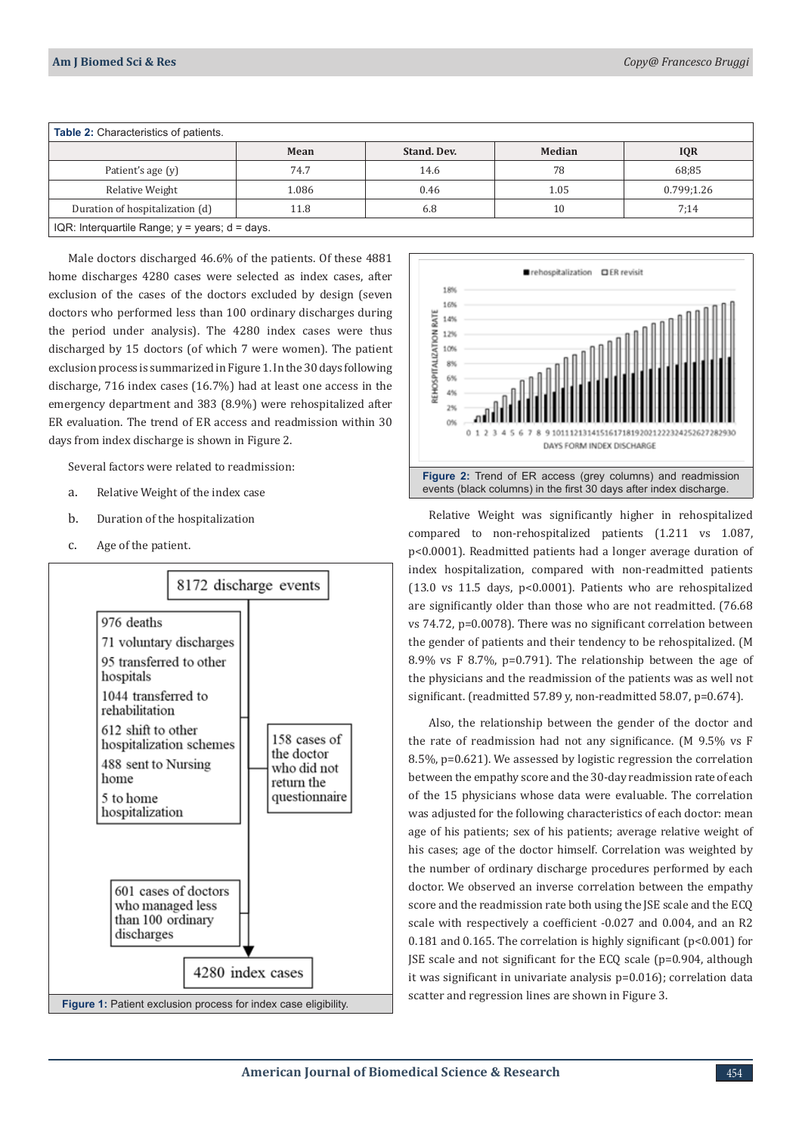| <b>Table 2:</b> Characteristics of patients.             |       |                    |               |            |  |  |  |
|----------------------------------------------------------|-------|--------------------|---------------|------------|--|--|--|
|                                                          | Mean  | <b>Stand, Dev.</b> | <b>Median</b> | <b>IQR</b> |  |  |  |
| Patient's age (y)                                        | 74.7  | 14.6               | 78            | 68;85      |  |  |  |
| Relative Weight                                          | 1.086 | 0.46               | 1.05          | 0.799;1.26 |  |  |  |
| Duration of hospitalization (d)                          | 11.8  | 6.8                | 10            | 7:14       |  |  |  |
| IQR: Interquartile Range; $y = \text{years}$ ; d = days. |       |                    |               |            |  |  |  |

Male doctors discharged 46.6% of the patients. Of these 4881 home discharges 4280 cases were selected as index cases, after exclusion of the cases of the doctors excluded by design (seven doctors who performed less than 100 ordinary discharges during the period under analysis). The 4280 index cases were thus discharged by 15 doctors (of which 7 were women). The patient exclusion process is summarized in Figure 1. In the 30 days following discharge, 716 index cases (16.7%) had at least one access in the emergency department and 383 (8.9%) were rehospitalized after ER evaluation. The trend of ER access and readmission within 30 days from index discharge is shown in Figure 2.

Several factors were related to readmission:

- a. Relative Weight of the index case
- b. Duration of the hospitalization
- c. Age of the patient.





Relative Weight was significantly higher in rehospitalized compared to non-rehospitalized patients (1.211 vs 1.087, p<0.0001). Readmitted patients had a longer average duration of index hospitalization, compared with non-readmitted patients (13.0 vs 11.5 days, p<0.0001). Patients who are rehospitalized are significantly older than those who are not readmitted. (76.68 vs 74.72, p=0.0078). There was no significant correlation between the gender of patients and their tendency to be rehospitalized. (M 8.9% vs F 8.7%, p=0.791). The relationship between the age of the physicians and the readmission of the patients was as well not significant. (readmitted 57.89 y, non-readmitted 58.07, p=0.674).

Also, the relationship between the gender of the doctor and the rate of readmission had not any significance. (M 9.5% vs F 8.5%, p=0.621). We assessed by logistic regression the correlation between the empathy score and the 30-day readmission rate of each of the 15 physicians whose data were evaluable. The correlation was adjusted for the following characteristics of each doctor: mean age of his patients; sex of his patients; average relative weight of his cases; age of the doctor himself. Correlation was weighted by the number of ordinary discharge procedures performed by each doctor. We observed an inverse correlation between the empathy score and the readmission rate both using the JSE scale and the ECQ scale with respectively a coefficient -0.027 and 0.004, and an R2 0.181 and 0.165. The correlation is highly significant (p<0.001) for JSE scale and not significant for the ECQ scale (p=0.904, although it was significant in univariate analysis p=0.016); correlation data scatter and regression lines are shown in Figure 3.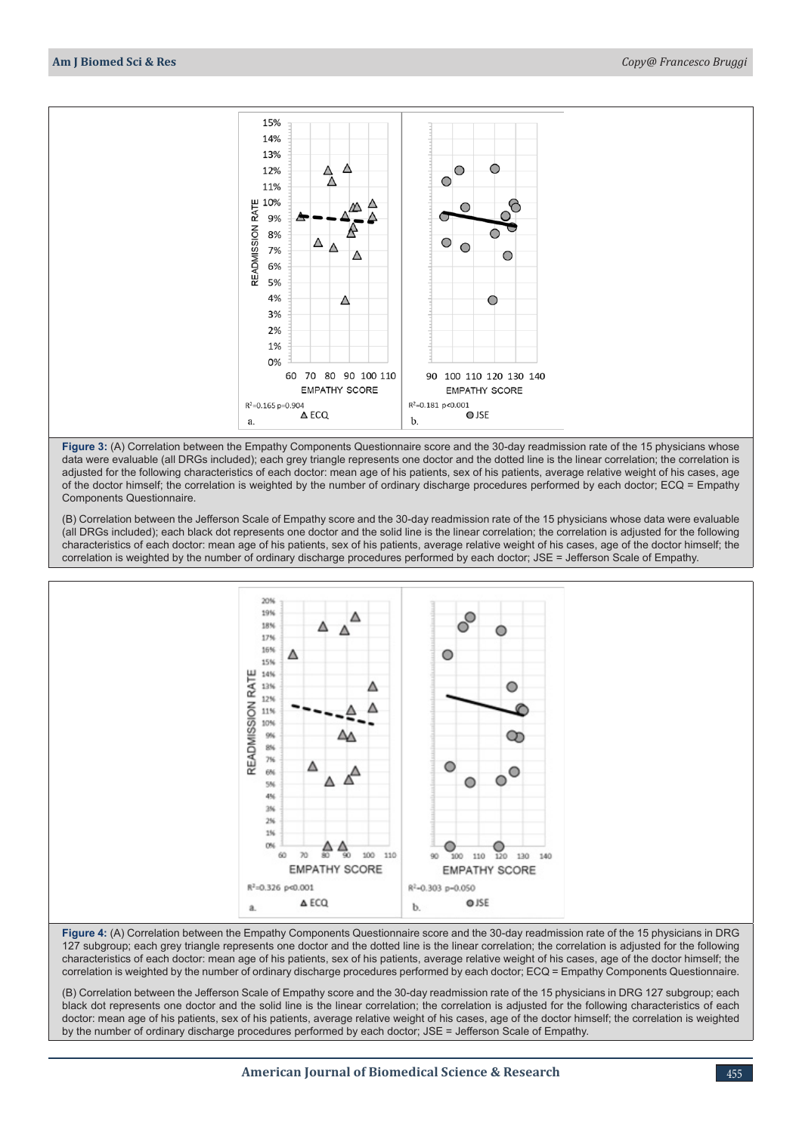

**Figure 3:** (A) Correlation between the Empathy Components Questionnaire score and the 30-day readmission rate of the 15 physicians whose data were evaluable (all DRGs included); each grey triangle represents one doctor and the dotted line is the linear correlation; the correlation is adjusted for the following characteristics of each doctor: mean age of his patients, sex of his patients, average relative weight of his cases, age of the doctor himself; the correlation is weighted by the number of ordinary discharge procedures performed by each doctor; ECQ = Empathy Components Questionnaire.

(B) Correlation between the Jefferson Scale of Empathy score and the 30-day readmission rate of the 15 physicians whose data were evaluable (all DRGs included); each black dot represents one doctor and the solid line is the linear correlation; the correlation is adjusted for the following characteristics of each doctor: mean age of his patients, sex of his patients, average relative weight of his cases, age of the doctor himself; the correlation is weighted by the number of ordinary discharge procedures performed by each doctor; JSE = Jefferson Scale of Empathy.



**Figure 4:** (A) Correlation between the Empathy Components Questionnaire score and the 30-day readmission rate of the 15 physicians in DRG 127 subgroup; each grey triangle represents one doctor and the dotted line is the linear correlation; the correlation is adjusted for the following characteristics of each doctor: mean age of his patients, sex of his patients, average relative weight of his cases, age of the doctor himself; the correlation is weighted by the number of ordinary discharge procedures performed by each doctor; ECQ = Empathy Components Questionnaire.

(B) Correlation between the Jefferson Scale of Empathy score and the 30-day readmission rate of the 15 physicians in DRG 127 subgroup; each black dot represents one doctor and the solid line is the linear correlation; the correlation is adjusted for the following characteristics of each doctor: mean age of his patients, sex of his patients, average relative weight of his cases, age of the doctor himself; the correlation is weighted by the number of ordinary discharge procedures performed by each doctor; JSE = Jefferson Scale of Empathy.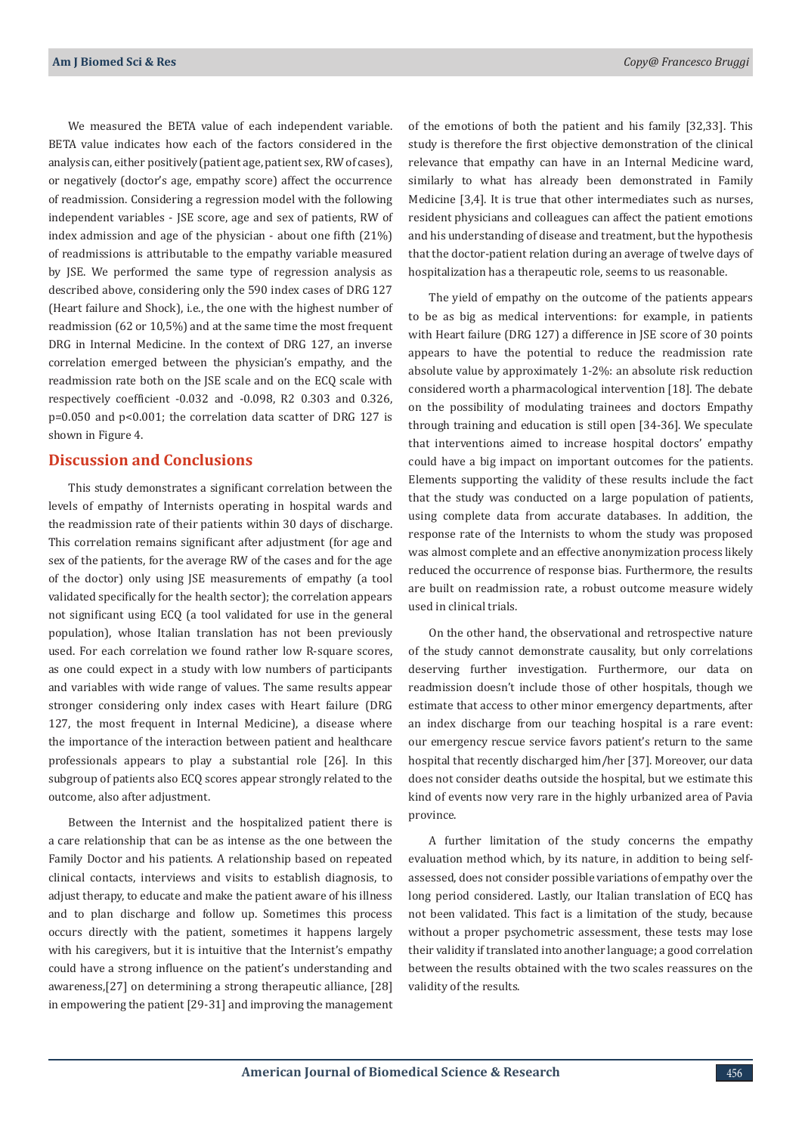We measured the BETA value of each independent variable. BETA value indicates how each of the factors considered in the analysis can, either positively (patient age, patient sex, RW of cases), or negatively (doctor's age, empathy score) affect the occurrence of readmission. Considering a regression model with the following independent variables - JSE score, age and sex of patients, RW of index admission and age of the physician - about one fifth (21%) of readmissions is attributable to the empathy variable measured by JSE. We performed the same type of regression analysis as described above, considering only the 590 index cases of DRG 127 (Heart failure and Shock), i.e., the one with the highest number of readmission (62 or 10,5%) and at the same time the most frequent DRG in Internal Medicine. In the context of DRG 127, an inverse correlation emerged between the physician's empathy, and the readmission rate both on the JSE scale and on the ECQ scale with respectively coefficient -0.032 and -0.098, R2 0.303 and 0.326, p=0.050 and p<0.001; the correlation data scatter of DRG 127 is shown in Figure 4.

### **Discussion and Conclusions**

This study demonstrates a significant correlation between the levels of empathy of Internists operating in hospital wards and the readmission rate of their patients within 30 days of discharge. This correlation remains significant after adjustment (for age and sex of the patients, for the average RW of the cases and for the age of the doctor) only using JSE measurements of empathy (a tool validated specifically for the health sector); the correlation appears not significant using ECQ (a tool validated for use in the general population), whose Italian translation has not been previously used. For each correlation we found rather low R-square scores, as one could expect in a study with low numbers of participants and variables with wide range of values. The same results appear stronger considering only index cases with Heart failure (DRG 127, the most frequent in Internal Medicine), a disease where the importance of the interaction between patient and healthcare professionals appears to play a substantial role [26]. In this subgroup of patients also ECQ scores appear strongly related to the outcome, also after adjustment.

Between the Internist and the hospitalized patient there is a care relationship that can be as intense as the one between the Family Doctor and his patients. A relationship based on repeated clinical contacts, interviews and visits to establish diagnosis, to adjust therapy, to educate and make the patient aware of his illness and to plan discharge and follow up. Sometimes this process occurs directly with the patient, sometimes it happens largely with his caregivers, but it is intuitive that the Internist's empathy could have a strong influence on the patient's understanding and awareness,[27] on determining a strong therapeutic alliance, [28] in empowering the patient [29-31] and improving the management of the emotions of both the patient and his family [32,33]. This study is therefore the first objective demonstration of the clinical relevance that empathy can have in an Internal Medicine ward, similarly to what has already been demonstrated in Family Medicine [3,4]. It is true that other intermediates such as nurses, resident physicians and colleagues can affect the patient emotions and his understanding of disease and treatment, but the hypothesis that the doctor-patient relation during an average of twelve days of hospitalization has a therapeutic role, seems to us reasonable.

The yield of empathy on the outcome of the patients appears to be as big as medical interventions: for example, in patients with Heart failure (DRG 127) a difference in JSE score of 30 points appears to have the potential to reduce the readmission rate absolute value by approximately 1-2%: an absolute risk reduction considered worth a pharmacological intervention [18]. The debate on the possibility of modulating trainees and doctors Empathy through training and education is still open [34-36]. We speculate that interventions aimed to increase hospital doctors' empathy could have a big impact on important outcomes for the patients. Elements supporting the validity of these results include the fact that the study was conducted on a large population of patients, using complete data from accurate databases. In addition, the response rate of the Internists to whom the study was proposed was almost complete and an effective anonymization process likely reduced the occurrence of response bias. Furthermore, the results are built on readmission rate, a robust outcome measure widely used in clinical trials.

On the other hand, the observational and retrospective nature of the study cannot demonstrate causality, but only correlations deserving further investigation. Furthermore, our data on readmission doesn't include those of other hospitals, though we estimate that access to other minor emergency departments, after an index discharge from our teaching hospital is a rare event: our emergency rescue service favors patient's return to the same hospital that recently discharged him/her [37]. Moreover, our data does not consider deaths outside the hospital, but we estimate this kind of events now very rare in the highly urbanized area of Pavia province.

A further limitation of the study concerns the empathy evaluation method which, by its nature, in addition to being selfassessed, does not consider possible variations of empathy over the long period considered. Lastly, our Italian translation of ECQ has not been validated. This fact is a limitation of the study, because without a proper psychometric assessment, these tests may lose their validity if translated into another language; a good correlation between the results obtained with the two scales reassures on the validity of the results.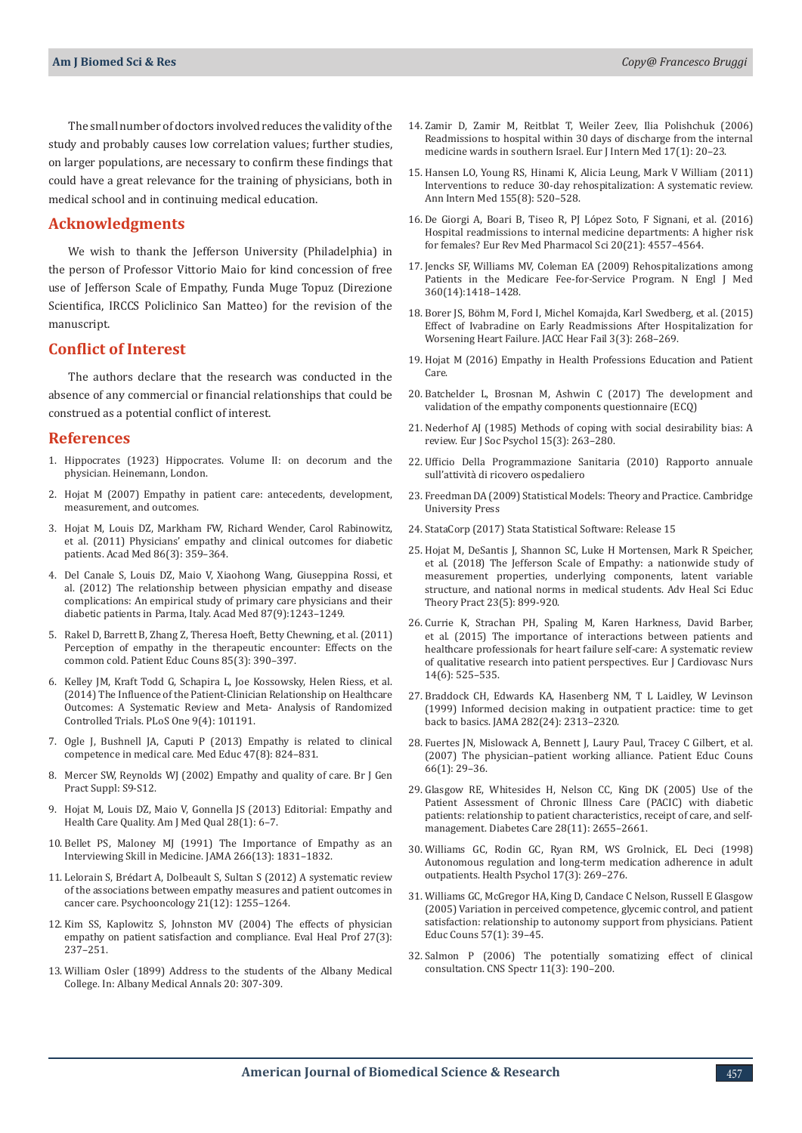The small number of doctors involved reduces the validity of the study and probably causes low correlation values; further studies, on larger populations, are necessary to confirm these findings that could have a great relevance for the training of physicians, both in medical school and in continuing medical education.

#### **Acknowledgments**

We wish to thank the Jefferson University (Philadelphia) in the person of Professor Vittorio Maio for kind concession of free use of Jefferson Scale of Empathy, Funda Muge Topuz (Direzione Scientifica, IRCCS Policlinico San Matteo) for the revision of the manuscript.

#### **Conflict of Interest**

The authors declare that the research was conducted in the absence of any commercial or financial relationships that could be construed as a potential conflict of interest.

#### **References**

- 1. Hippocrates (1923) Hippocrates. Volume II: on decorum and the physician. Heinemann, London.
- 2. [Hojat M \(2007\) Empathy in patient care: antecedents, development,](https://link.springer.com/book/10.1007/0-387-33608-7)  [measurement, and outcomes.](https://link.springer.com/book/10.1007/0-387-33608-7)
- 3. Hojat M, Louis DZ, Markham FW, [Richard Wender, Carol Rabinowitz,](https://pubmed.ncbi.nlm.nih.gov/21248604/)  [et al. \(2011\) Physicians' empathy and clinical outcomes for diabetic](https://pubmed.ncbi.nlm.nih.gov/21248604/)  [patients. Acad Med 86\(3\): 359–364.](https://pubmed.ncbi.nlm.nih.gov/21248604/)
- 4. [Del Canale S, Louis DZ, Maio V, Xiaohong Wang, Giuseppina Rossi, et](https://pubmed.ncbi.nlm.nih.gov/22836852/)  [al. \(2012\) The relationship between physician empathy and disease](https://pubmed.ncbi.nlm.nih.gov/22836852/)  [complications: An empirical study of primary care physicians and their](https://pubmed.ncbi.nlm.nih.gov/22836852/)  [diabetic patients in Parma, Italy. Acad Med 87\(9\):1243–1249.](https://pubmed.ncbi.nlm.nih.gov/22836852/)
- 5. [Rakel D, Barrett B, Zhang Z, Theresa Hoeft, Betty Chewning, et al. \(2011\)](https://pubmed.ncbi.nlm.nih.gov/21300514/)  [Perception of empathy in the therapeutic encounter: Effects on the](https://pubmed.ncbi.nlm.nih.gov/21300514/)  [common cold. Patient Educ Couns 85\(3\): 390–397.](https://pubmed.ncbi.nlm.nih.gov/21300514/)
- 6. [Kelley JM, Kraft Todd G, Schapira L, Joe Kossowsky, Helen Riess, et al.](https://pubmed.ncbi.nlm.nih.gov/24718585/)  [\(2014\) The Influence of the Patient-Clinician Relationship on Healthcare](https://pubmed.ncbi.nlm.nih.gov/24718585/)  [Outcomes: A Systematic Review and Meta- Analysis of Randomized](https://pubmed.ncbi.nlm.nih.gov/24718585/)  [Controlled Trials. PLoS One 9\(4\): 101191.](https://pubmed.ncbi.nlm.nih.gov/24718585/)
- 7. [Ogle J, Bushnell JA, Caputi P \(2013\) Empathy is related to clinical](https://pubmed.ncbi.nlm.nih.gov/23837429/)  [competence in medical care. Med Educ 47\(8\): 824–831.](https://pubmed.ncbi.nlm.nih.gov/23837429/)
- 8. [Mercer SW, Reynolds WJ \(2002\) Empathy and quality of care. Br J Gen](https://pubmed.ncbi.nlm.nih.gov/12389763/)  [Pract Suppl: S9-S12.](https://pubmed.ncbi.nlm.nih.gov/12389763/)
- 9. [Hojat M, Louis DZ, Maio V, Gonnella JS \(2013\) Editorial: Empathy and](https://pubmed.ncbi.nlm.nih.gov/23288854/)  [Health Care Quality. Am J Med Qual 28\(1\): 6–7.](https://pubmed.ncbi.nlm.nih.gov/23288854/)
- 10. [Bellet PS, Maloney MJ \(1991\) The Importance of Empathy as an](https://pubmed.ncbi.nlm.nih.gov/1909761/)  [Interviewing Skill in Medicine. JAMA 266\(13\): 1831–1832.](https://pubmed.ncbi.nlm.nih.gov/1909761/)
- 11. Lelorain S, Bré[dart A, Dolbeault S, Sultan S \(2012\) A systematic review](https://pubmed.ncbi.nlm.nih.gov/22238060/)  [of the associations between empathy measures and patient outcomes in](https://pubmed.ncbi.nlm.nih.gov/22238060/)  [cancer care. Psychooncology 21\(12\): 1255–1264.](https://pubmed.ncbi.nlm.nih.gov/22238060/)
- 12. [Kim SS, Kaplowitz S, Johnston MV \(2004\) The effects of physician](https://pubmed.ncbi.nlm.nih.gov/15312283/)  [empathy on patient satisfaction and compliance. Eval Heal Prof 27\(3\):](https://pubmed.ncbi.nlm.nih.gov/15312283/)  [237–251.](https://pubmed.ncbi.nlm.nih.gov/15312283/)
- 13. William Osler (1899) Address to the students of the Albany Medical College. In: Albany Medical Annals 20: 307-309.
- 14. [Zamir D, Zamir M, Reitblat T, Weiler Zeev, Ilia Polishchuk \(2006\)](https://pubmed.ncbi.nlm.nih.gov/16378880/) [Readmissions to hospital within 30 days of discharge from the internal](https://pubmed.ncbi.nlm.nih.gov/16378880/) [medicine wards in southern Israel. Eur J Intern Med 17\(1\): 20–23.](https://pubmed.ncbi.nlm.nih.gov/16378880/)
- 15. [Hansen LO, Young RS, Hinami K, Alicia Leung, Mark V William \(2011\)](https://pubmed.ncbi.nlm.nih.gov/22007045/) [Interventions to reduce 30-day rehospitalization: A systematic review.](https://pubmed.ncbi.nlm.nih.gov/22007045/) [Ann Intern Med 155\(8\): 520–528.](https://pubmed.ncbi.nlm.nih.gov/22007045/)
- 16. [De Giorgi A, Boari B, Tiseo R, PJ López Soto, F Signani, et al. \(2016\)](https://pubmed.ncbi.nlm.nih.gov/27874940/) [Hospital readmissions to internal medicine departments: A higher risk](https://pubmed.ncbi.nlm.nih.gov/27874940/) [for females? Eur Rev Med Pharmacol Sci 20\(21\): 4557–4564.](https://pubmed.ncbi.nlm.nih.gov/27874940/)
- 17. [Jencks SF, Williams MV, Coleman EA \(2009\) Rehospitalizations among](https://pubmed.ncbi.nlm.nih.gov/19339721/) [Patients in the Medicare Fee-for-Service Program. N Engl J Med](https://pubmed.ncbi.nlm.nih.gov/19339721/) [360\(14\):1418–1428.](https://pubmed.ncbi.nlm.nih.gov/19339721/)
- 18. Borer JS, Bö[hm M, Ford I, Michel Komajda, Karl Swedberg, et al. \(2015\)](https://pubmed.ncbi.nlm.nih.gov/25742766/) [Effect of Ivabradine on Early Readmissions After Hospitalization for](https://pubmed.ncbi.nlm.nih.gov/25742766/) [Worsening Heart Failure. JACC Hear Fail 3\(3\): 268–269.](https://pubmed.ncbi.nlm.nih.gov/25742766/)
- 19. [Hojat M \(2016\) Empathy in Health Professions Education and Patient](https://link.springer.com/book/10.1007/978-3-319-27625-0) [Care.](https://link.springer.com/book/10.1007/978-3-319-27625-0)
- 20. Batchelder L, Brosnan M, Ashwin C (2017) The development and validation of the empathy components questionnaire (ECQ)
- 21. [Nederhof AJ \(1985\) Methods of coping with social desirability bias: A](https://onlinelibrary.wiley.com/doi/abs/10.1002/ejsp.2420150303) [review. Eur J Soc Psychol 15\(3\): 263–280.](https://onlinelibrary.wiley.com/doi/abs/10.1002/ejsp.2420150303)
- 22. Ufficio Della Programmazione Sanitaria (2010) Rapporto annuale sull'attività di ricovero ospedaliero
- 23. Freedman DA (2009) Statistical Models: Theory and Practice. Cambridge University Press
- 24. StataCorp (2017) Stata Statistical Software: Release 15
- 25. [Hojat M, DeSantis J, Shannon SC, Luke H Mortensen, Mark R Speicher,](https://pubmed.ncbi.nlm.nih.gov/29968006/) [et al. \(2018\) The Jefferson Scale of Empathy: a nationwide study of](https://pubmed.ncbi.nlm.nih.gov/29968006/) [measurement properties, underlying components, latent variable](https://pubmed.ncbi.nlm.nih.gov/29968006/) [structure, and national norms in medical students. Adv Heal Sci Educ](https://pubmed.ncbi.nlm.nih.gov/29968006/) [Theory Pract 23\(5\): 899-920.](https://pubmed.ncbi.nlm.nih.gov/29968006/)
- 26. [Currie K, Strachan PH, Spaling M, Karen Harkness, David Barber,](https://pubmed.ncbi.nlm.nih.gov/25139468/) [et al. \(2015\) The importance of interactions between patients and](https://pubmed.ncbi.nlm.nih.gov/25139468/) [healthcare professionals for heart failure self-care: A systematic review](https://pubmed.ncbi.nlm.nih.gov/25139468/) [of qualitative research into patient perspectives. Eur J Cardiovasc Nurs](https://pubmed.ncbi.nlm.nih.gov/25139468/) [14\(6\): 525–535.](https://pubmed.ncbi.nlm.nih.gov/25139468/)
- 27. [Braddock CH, Edwards KA, Hasenberg NM, T L Laidley, W Levinson](https://pubmed.ncbi.nlm.nih.gov/10612318/) [\(1999\) Informed decision making in outpatient practice: time to get](https://pubmed.ncbi.nlm.nih.gov/10612318/) [back to basics. JAMA 282\(24\): 2313–2320.](https://pubmed.ncbi.nlm.nih.gov/10612318/)
- 28. [Fuertes JN, Mislowack A, Bennett J,](https://pubmed.ncbi.nlm.nih.gov/17188453/) Laury Paul, Tracey C Gilbert, et al. [\(2007\) The physician–patient working alliance. Patient Educ Couns](https://pubmed.ncbi.nlm.nih.gov/17188453/) [66\(1\): 29–36.](https://pubmed.ncbi.nlm.nih.gov/17188453/)
- 29. [Glasgow RE, Whitesides H, Nelson CC, King DK \(2005\) Use of the](https://pubmed.ncbi.nlm.nih.gov/16249535/) [Patient Assessment of Chronic Illness Care \(PACIC\) with diabetic](https://pubmed.ncbi.nlm.nih.gov/16249535/) [patients: relationship to patient characteristics, receipt of care, and self](https://pubmed.ncbi.nlm.nih.gov/16249535/)[management. Diabetes Care 28\(11\): 2655–2661.](https://pubmed.ncbi.nlm.nih.gov/16249535/)
- 30. [Williams GC, Rodin GC, Ryan RM, WS Grolnick, EL Deci \(1998\)](https://pubmed.ncbi.nlm.nih.gov/9619477/) [Autonomous regulation and long-term medication adherence in adult](https://pubmed.ncbi.nlm.nih.gov/9619477/) [outpatients. Health Psychol 17\(3\): 269–276.](https://pubmed.ncbi.nlm.nih.gov/9619477/)
- 31. [Williams GC, McGregor HA, King D, Candace C Nelson, Russell E Glasgow](https://pubmed.ncbi.nlm.nih.gov/15797151/) [\(2005\) Variation in perceived competence, glycemic control, and patient](https://pubmed.ncbi.nlm.nih.gov/15797151/) [satisfaction: relationship to autonomy support from physicians. Patient](https://pubmed.ncbi.nlm.nih.gov/15797151/) [Educ Couns 57\(1\): 39–45.](https://pubmed.ncbi.nlm.nih.gov/15797151/)
- 32. [Salmon P \(2006\) The potentially somatizing effect of clinical](https://pubmed.ncbi.nlm.nih.gov/16575376/) [consultation. CNS Spectr 11\(3\): 190–200.](https://pubmed.ncbi.nlm.nih.gov/16575376/)